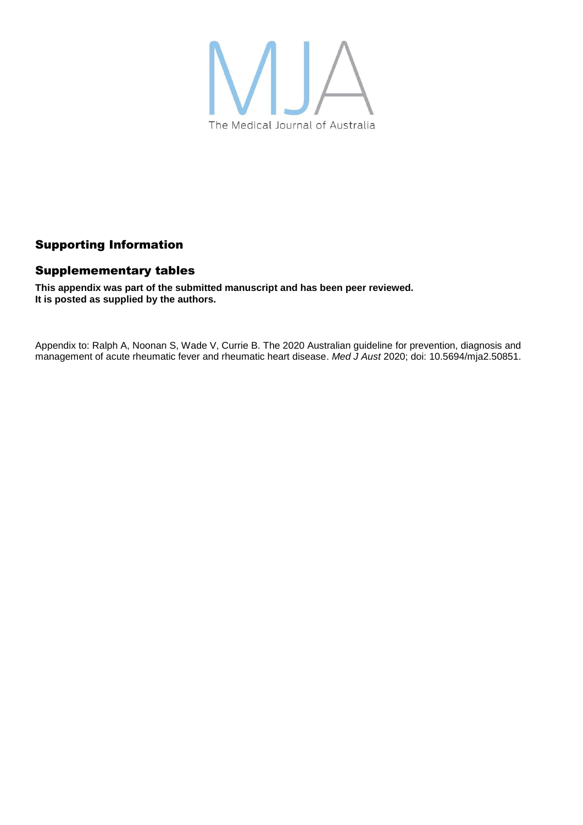

### Supporting Information

#### Supplemementary tables

**This appendix was part of the submitted manuscript and has been peer reviewed. It is posted as supplied by the authors.**

Appendix to: Ralph A, Noonan S, Wade V, Currie B. The 2020 Australian guideline for prevention, diagnosis and management of acute rheumatic fever and rheumatic heart disease. *Med J Aust* 2020; doi: 10.5694/mja2.50851.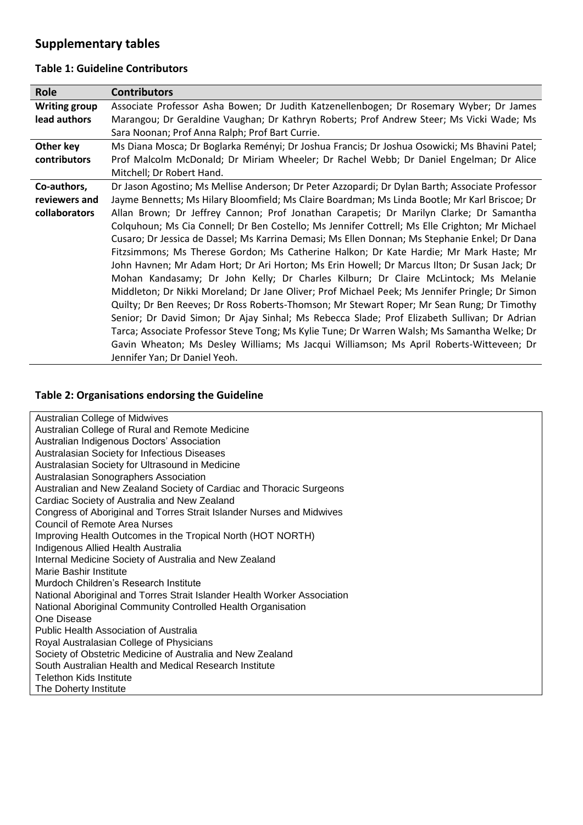# **Supplementary tables**

#### **Table 1: Guideline Contributors**

| Role                 | <b>Contributors</b>                                                                             |  |  |
|----------------------|-------------------------------------------------------------------------------------------------|--|--|
| <b>Writing group</b> | Associate Professor Asha Bowen; Dr Judith Katzenellenbogen; Dr Rosemary Wyber; Dr James         |  |  |
| lead authors         | Marangou; Dr Geraldine Vaughan; Dr Kathryn Roberts; Prof Andrew Steer; Ms Vicki Wade; Ms        |  |  |
|                      | Sara Noonan; Prof Anna Ralph; Prof Bart Currie.                                                 |  |  |
| Other key            | Ms Diana Mosca; Dr Boglarka Reményi; Dr Joshua Francis; Dr Joshua Osowicki; Ms Bhavini Patel;   |  |  |
| contributors         | Prof Malcolm McDonald; Dr Miriam Wheeler; Dr Rachel Webb; Dr Daniel Engelman; Dr Alice          |  |  |
|                      | Mitchell; Dr Robert Hand.                                                                       |  |  |
| Co-authors,          | Dr Jason Agostino; Ms Mellise Anderson; Dr Peter Azzopardi; Dr Dylan Barth; Associate Professor |  |  |
| reviewers and        | Jayme Bennetts; Ms Hilary Bloomfield; Ms Claire Boardman; Ms Linda Bootle; Mr Karl Briscoe; Dr  |  |  |
| collaborators        | Allan Brown; Dr Jeffrey Cannon; Prof Jonathan Carapetis; Dr Marilyn Clarke; Dr Samantha         |  |  |
|                      | Colquhoun; Ms Cia Connell; Dr Ben Costello; Ms Jennifer Cottrell; Ms Elle Crighton; Mr Michael  |  |  |
|                      | Cusaro; Dr Jessica de Dassel; Ms Karrina Demasi; Ms Ellen Donnan; Ms Stephanie Enkel; Dr Dana   |  |  |
|                      | Fitzsimmons; Ms Therese Gordon; Ms Catherine Halkon; Dr Kate Hardie; Mr Mark Haste; Mr          |  |  |
|                      | John Havnen; Mr Adam Hort; Dr Ari Horton; Ms Erin Howell; Dr Marcus Ilton; Dr Susan Jack; Dr    |  |  |
|                      | Mohan Kandasamy; Dr John Kelly; Dr Charles Kilburn; Dr Claire McLintock; Ms Melanie             |  |  |
|                      | Middleton; Dr Nikki Moreland; Dr Jane Oliver; Prof Michael Peek; Ms Jennifer Pringle; Dr Simon  |  |  |
|                      | Quilty; Dr Ben Reeves; Dr Ross Roberts-Thomson; Mr Stewart Roper; Mr Sean Rung; Dr Timothy      |  |  |
|                      | Senior; Dr David Simon; Dr Ajay Sinhal; Ms Rebecca Slade; Prof Elizabeth Sullivan; Dr Adrian    |  |  |
|                      | Tarca; Associate Professor Steve Tong; Ms Kylie Tune; Dr Warren Walsh; Ms Samantha Welke; Dr    |  |  |
|                      | Gavin Wheaton; Ms Desley Williams; Ms Jacqui Williamson; Ms April Roberts-Witteveen; Dr         |  |  |
|                      | Jennifer Yan; Dr Daniel Yeoh.                                                                   |  |  |

## **Table 2: Organisations endorsing the Guideline**

| <b>Australian College of Midwives</b>                                    |  |  |
|--------------------------------------------------------------------------|--|--|
| Australian College of Rural and Remote Medicine                          |  |  |
| Australian Indigenous Doctors' Association                               |  |  |
| Australasian Society for Infectious Diseases                             |  |  |
| Australasian Society for Ultrasound in Medicine                          |  |  |
| Australasian Sonographers Association                                    |  |  |
| Australian and New Zealand Society of Cardiac and Thoracic Surgeons      |  |  |
| Cardiac Society of Australia and New Zealand                             |  |  |
| Congress of Aboriginal and Torres Strait Islander Nurses and Midwives    |  |  |
| Council of Remote Area Nurses                                            |  |  |
| Improving Health Outcomes in the Tropical North (HOT NORTH)              |  |  |
| Indigenous Allied Health Australia                                       |  |  |
| Internal Medicine Society of Australia and New Zealand                   |  |  |
| Marie Bashir Institute                                                   |  |  |
| Murdoch Children's Research Institute                                    |  |  |
| National Aboriginal and Torres Strait Islander Health Worker Association |  |  |
| National Aboriginal Community Controlled Health Organisation             |  |  |
| One Disease                                                              |  |  |
| Public Health Association of Australia                                   |  |  |
| Royal Australasian College of Physicians                                 |  |  |
| Society of Obstetric Medicine of Australia and New Zealand               |  |  |
| South Australian Health and Medical Research Institute                   |  |  |
| Telethon Kids Institute                                                  |  |  |
| The Doherty Institute                                                    |  |  |